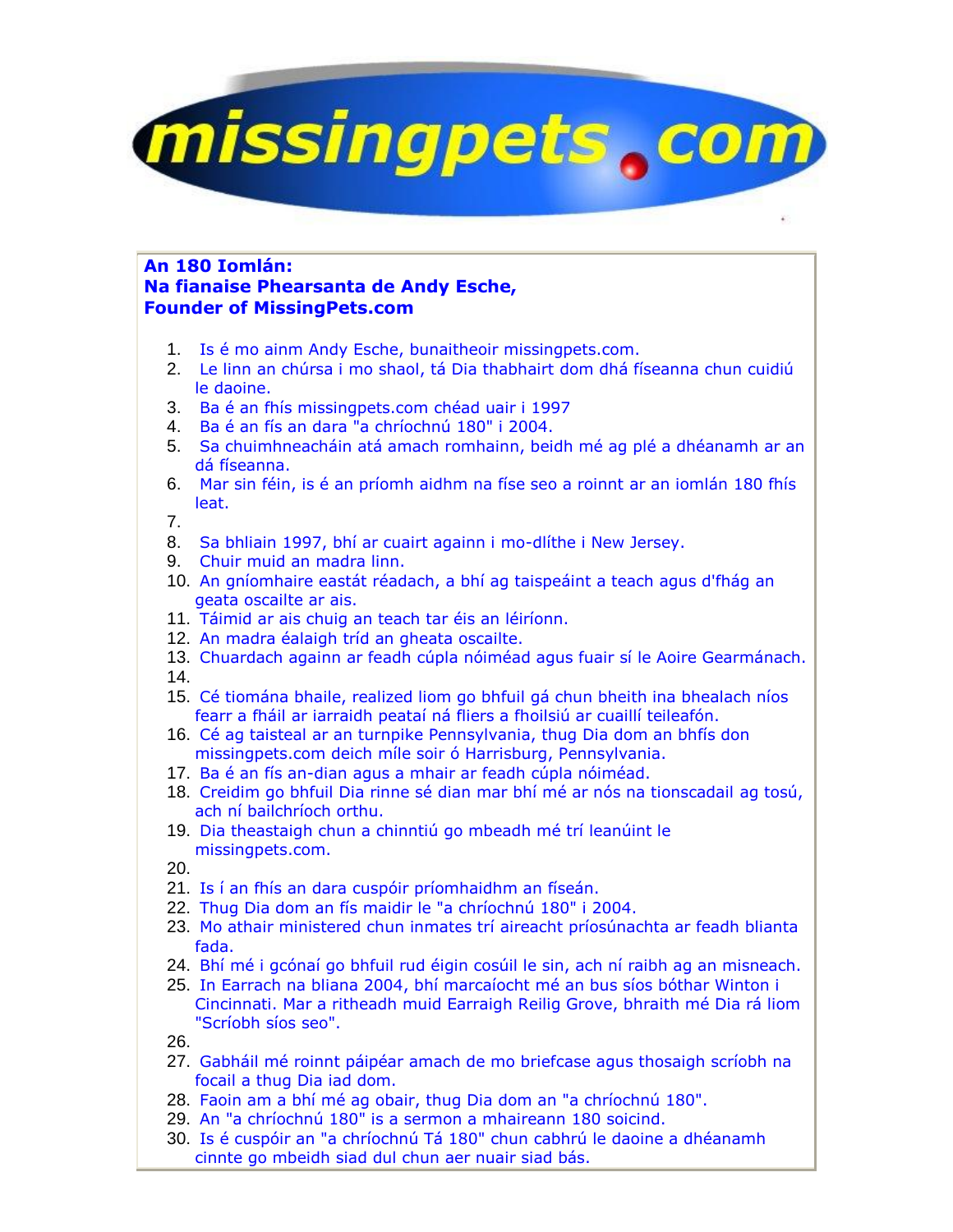

## **An 180 Iomlán: Na fianaise Phearsanta de Andy Esche, Founder of MissingPets.com**

- 1. Is é mo ainm Andy Esche, bunaitheoir missingpets.com.
- 2. Le linn an chúrsa i mo shaol, tá Dia thabhairt dom dhá físeanna chun cuidiú le daoine.
- 3. Ba é an fhís missingpets.com chéad uair i 1997
- 4. Ba é an fís an dara "a chríochnú 180" i 2004.
- 5. Sa chuimhneacháin atá amach romhainn, beidh mé ag plé a dhéanamh ar an dá físeanna.
- 6. Mar sin féin, is é an príomh aidhm na físe seo a roinnt ar an iomlán 180 fhís leat.

7.

- 8. Sa bhliain 1997, bhí ar cuairt againn i mo-dlíthe i New Jersey.
- 9. Chuir muid an madra linn.
- 10. An gníomhaire eastát réadach, a bhí ag taispeáint a teach agus d'fhág an geata oscailte ar ais.
- 11. Táimid ar ais chuig an teach tar éis an léiríonn.
- 12. An madra éalaigh tríd an gheata oscailte.
- 13. Chuardach againn ar feadh cúpla nóiméad agus fuair sí le Aoire Gearmánach. 14.
- 15. Cé tiomána bhaile, realized liom go bhfuil gá chun bheith ina bhealach níos fearr a fháil ar iarraidh peataí ná fliers a fhoilsiú ar cuaillí teileafón.
- 16. Cé ag taisteal ar an turnpike Pennsylvania, thug Dia dom an bhfís don missingpets.com deich míle soir ó Harrisburg, Pennsylvania.
- 17. Ba é an fís an-dian agus a mhair ar feadh cúpla nóiméad.
- 18. Creidim go bhfuil Dia rinne sé dian mar bhí mé ar nós na tionscadail ag tosú, ach ní bailchríoch orthu.
- 19. Dia theastaigh chun a chinntiú go mbeadh mé trí leanúint le missingpets.com.
- 20.
- 21. Is í an fhís an dara cuspóir príomhaidhm an físeán.
- 22. Thug Dia dom an fís maidir le "a chríochnú 180" i 2004.
- 23. Mo athair ministered chun inmates trí aireacht príosúnachta ar feadh blianta fada.
- 24. Bhí mé i gcónaí go bhfuil rud éigin cosúil le sin, ach ní raibh ag an misneach.
- 25. In Earrach na bliana 2004, bhí marcaíocht mé an bus síos bóthar Winton i Cincinnati. Mar a ritheadh muid Earraigh Reilig Grove, bhraith mé Dia rá liom "Scríobh síos seo".

26.

- 27. Gabháil mé roinnt páipéar amach de mo briefcase agus thosaigh scríobh na focail a thug Dia iad dom.
- 28. Faoin am a bhí mé ag obair, thug Dia dom an "a chríochnú 180".
- 29. An "a chríochnú 180" is a sermon a mhaireann 180 soicind.
- 30. Is é cuspóir an "a chríochnú Tá 180" chun cabhrú le daoine a dhéanamh cinnte go mbeidh siad dul chun aer nuair siad bás.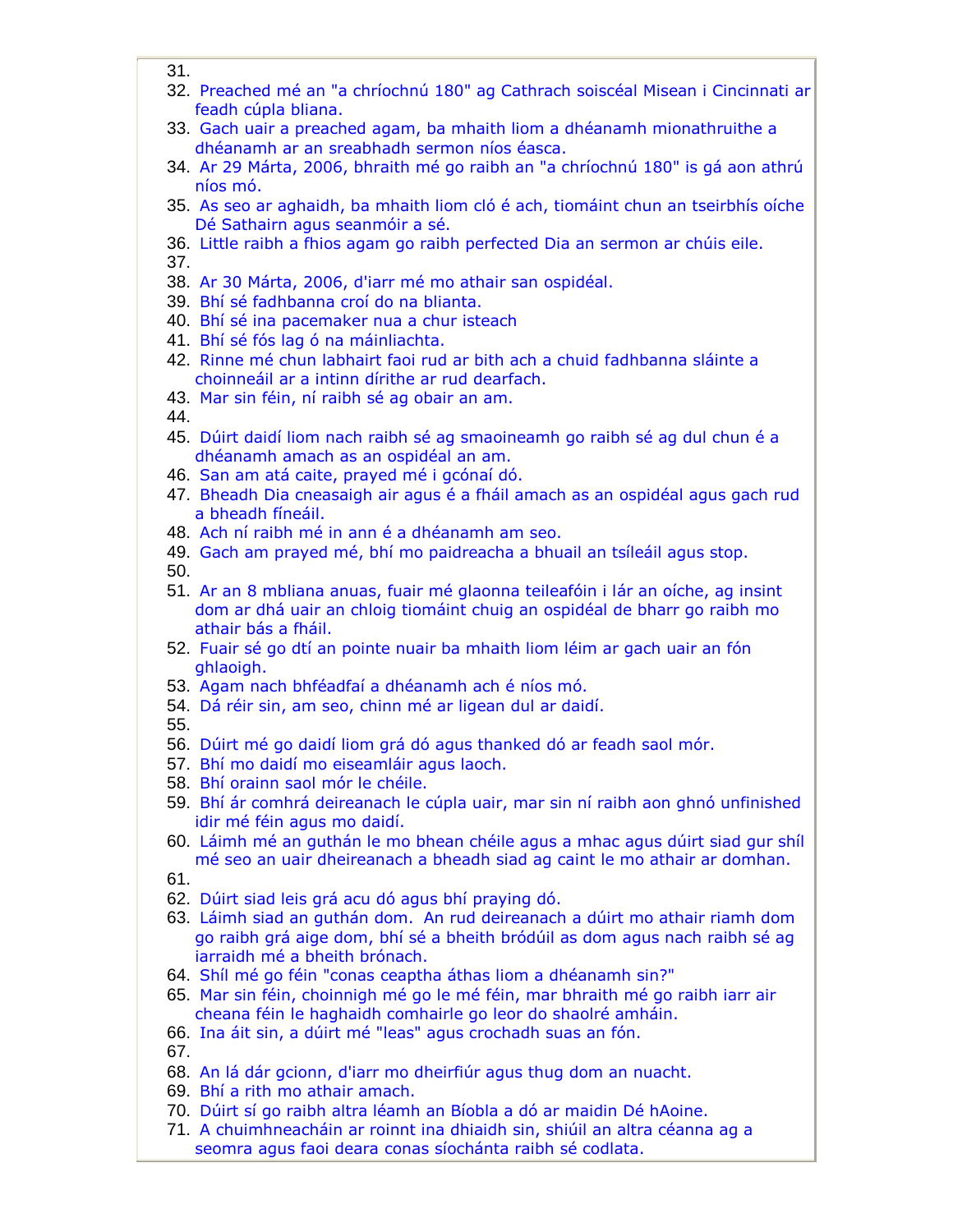- 31.
- 32. Preached mé an "a chríochnú 180" ag Cathrach soiscéal Misean i Cincinnati ar feadh cúpla bliana.
- 33. Gach uair a preached agam, ba mhaith liom a dhéanamh mionathruithe a dhéanamh ar an sreabhadh sermon níos éasca.
- 34. Ar 29 Márta, 2006, bhraith mé go raibh an "a chríochnú 180" is gá aon athrú níos mó.
- 35. As seo ar aghaidh, ba mhaith liom cló é ach, tiomáint chun an tseirbhís oíche Dé Sathairn agus seanmóir a sé.
- 36. Little raibh a fhios agam go raibh perfected Dia an sermon ar chúis eile. 37.
- 38. Ar 30 Márta, 2006, d'iarr mé mo athair san ospidéal.
- 39. Bhí sé fadhbanna croí do na blianta.
- 40. Bhí sé ina pacemaker nua a chur isteach
- 41. Bhí sé fós lag ó na máinliachta.
- 42. Rinne mé chun labhairt faoi rud ar bith ach a chuid fadhbanna sláinte a choinneáil ar a intinn dírithe ar rud dearfach.
- 43. Mar sin féin, ní raibh sé ag obair an am.
- 44.
- 45. Dúirt daidí liom nach raibh sé ag smaoineamh go raibh sé ag dul chun é a dhéanamh amach as an ospidéal an am.
- 46. San am atá caite, prayed mé i gcónaí dó.
- 47. Bheadh Dia cneasaigh air agus é a fháil amach as an ospidéal agus gach rud a bheadh fíneáil.
- 48. Ach ní raibh mé in ann é a dhéanamh am seo.
- 49. Gach am prayed mé, bhí mo paidreacha a bhuail an tsíleáil agus stop.

50.

- 51. Ar an 8 mbliana anuas, fuair mé glaonna teileafóin i lár an oíche, ag insint dom ar dhá uair an chloig tiomáint chuig an ospidéal de bharr go raibh mo athair bás a fháil.
- 52. Fuair sé go dtí an pointe nuair ba mhaith liom léim ar gach uair an fón ghlaoigh.
- 53. Agam nach bhféadfaí a dhéanamh ach é níos mó.
- 54. Dá réir sin, am seo, chinn mé ar ligean dul ar daidí.

55.

- 56. Dúirt mé go daidí liom grá dó agus thanked dó ar feadh saol mór.
- 57. Bhí mo daidí mo eiseamláir agus laoch.
- 58. Bhí orainn saol mór le chéile.
- 59. Bhí ár comhrá deireanach le cúpla uair, mar sin ní raibh aon ghnó unfinished idir mé féin agus mo daidí.
- 60. Láimh mé an guthán le mo bhean chéile agus a mhac agus dúirt siad gur shíl mé seo an uair dheireanach a bheadh siad ag caint le mo athair ar domhan.

61.

- 62. Dúirt siad leis grá acu dó agus bhí praying dó.
- 63. Láimh siad an guthán dom. An rud deireanach a dúirt mo athair riamh dom go raibh grá aige dom, bhí sé a bheith bródúil as dom agus nach raibh sé ag iarraidh mé a bheith brónach.
- 64. Shíl mé go féin "conas ceaptha áthas liom a dhéanamh sin?"
- 65. Mar sin féin, choinnigh mé go le mé féin, mar bhraith mé go raibh iarr air cheana féin le haghaidh comhairle go leor do shaolré amháin.
- 66. Ina áit sin, a dúirt mé "leas" agus crochadh suas an fón.

67.

- 68. An lá dár gcionn, d'iarr mo dheirfiúr agus thug dom an nuacht.
- 69. Bhí a rith mo athair amach.
- 70. Dúirt sí go raibh altra léamh an Bíobla a dó ar maidin Dé hAoine.
- 71. A chuimhneacháin ar roinnt ina dhiaidh sin, shiúil an altra céanna ag a seomra agus faoi deara conas síochánta raibh sé codlata.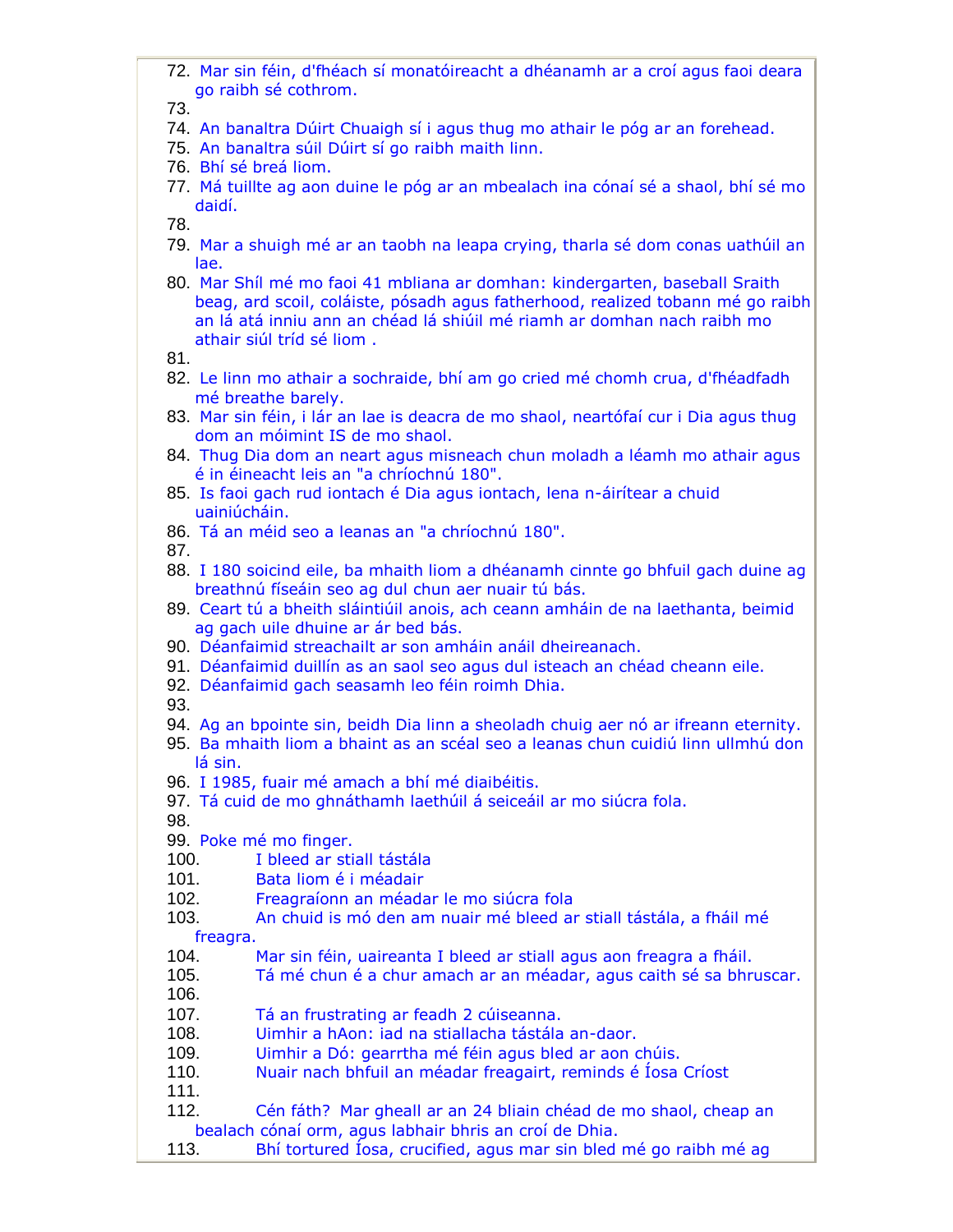72. Mar sin féin, d'fhéach sí monatóireacht a dhéanamh ar a croí agus faoi deara go raibh sé cothrom.

73.

- 74. An banaltra Dúirt Chuaigh sí i agus thug mo athair le póg ar an forehead.
- 75. An banaltra súil Dúirt sí go raibh maith linn.
- 76. Bhí sé breá liom.
- 77. Má tuillte ag aon duine le póg ar an mbealach ina cónaí sé a shaol, bhí sé mo daidí.

78.

- 79. Mar a shuigh mé ar an taobh na leapa crying, tharla sé dom conas uathúil an lae.
- 80. Mar Shíl mé mo faoi 41 mbliana ar domhan: kindergarten, baseball Sraith beag, ard scoil, coláiste, pósadh agus fatherhood, realized tobann mé go raibh an lá atá inniu ann an chéad lá shiúil mé riamh ar domhan nach raibh mo athair siúl tríd sé liom .

81.

- 82. Le linn mo athair a sochraide, bhí am go cried mé chomh crua, d'fhéadfadh mé breathe barely.
- 83. Mar sin féin, i lár an lae is deacra de mo shaol, neartófaí cur i Dia agus thug dom an móimint IS de mo shaol.
- 84. Thug Dia dom an neart agus misneach chun moladh a léamh mo athair agus é in éineacht leis an "a chríochnú 180".
- 85. Is faoi gach rud iontach é Dia agus iontach, lena n-áirítear a chuid uainiúcháin.
- 86. Tá an méid seo a leanas an "a chríochnú 180".

87.

- 88. I 180 soicind eile, ba mhaith liom a dhéanamh cinnte go bhfuil gach duine ag breathnú físeáin seo ag dul chun aer nuair tú bás.
- 89. Ceart tú a bheith sláintiúil anois, ach ceann amháin de na laethanta, beimid ag gach uile dhuine ar ár bed bás.
- 90. Déanfaimid streachailt ar son amháin anáil dheireanach.
- 91. Déanfaimid duillín as an saol seo agus dul isteach an chéad cheann eile.
- 92. Déanfaimid gach seasamh leo féin roimh Dhia.

93.

- 94. Ag an bpointe sin, beidh Dia linn a sheoladh chuig aer nó ar ifreann eternity.
- 95. Ba mhaith liom a bhaint as an scéal seo a leanas chun cuidiú linn ullmhú don lá sin.
- 96. I 1985, fuair mé amach a bhí mé diaibéitis.
- 97. Tá cuid de mo ghnáthamh laethúil á seiceáil ar mo siúcra fola.

98.

99. Poke mé mo finger.

100. I bleed ar stiall tástála

- 101. Bata liom é i méadair
- 102. Freagraíonn an méadar le mo siúcra fola

103. An chuid is mó den am nuair mé bleed ar stiall tástála, a fháil mé

freagra.

- 104. Mar sin féin, uaireanta I bleed ar stiall agus aon freagra a fháil.
- 105. Tá mé chun é a chur amach ar an méadar, agus caith sé sa bhruscar. 106.
- 107. Tá an frustrating ar feadh 2 cúiseanna.
- 108. Uimhir a hAon: iad na stiallacha tástála an-daor.
- 109. Uimhir a Dó: gearrtha mé féin agus bled ar aon chúis.
- 110. Nuair nach bhfuil an méadar freagairt, reminds é Íosa Críost

111.

- 112. Cén fáth? Mar gheall ar an 24 bliain chéad de mo shaol, cheap an bealach cónaí orm, agus labhair bhris an croí de Dhia.
- 113. Bhí tortured Íosa, crucified, agus mar sin bled mé go raibh mé ag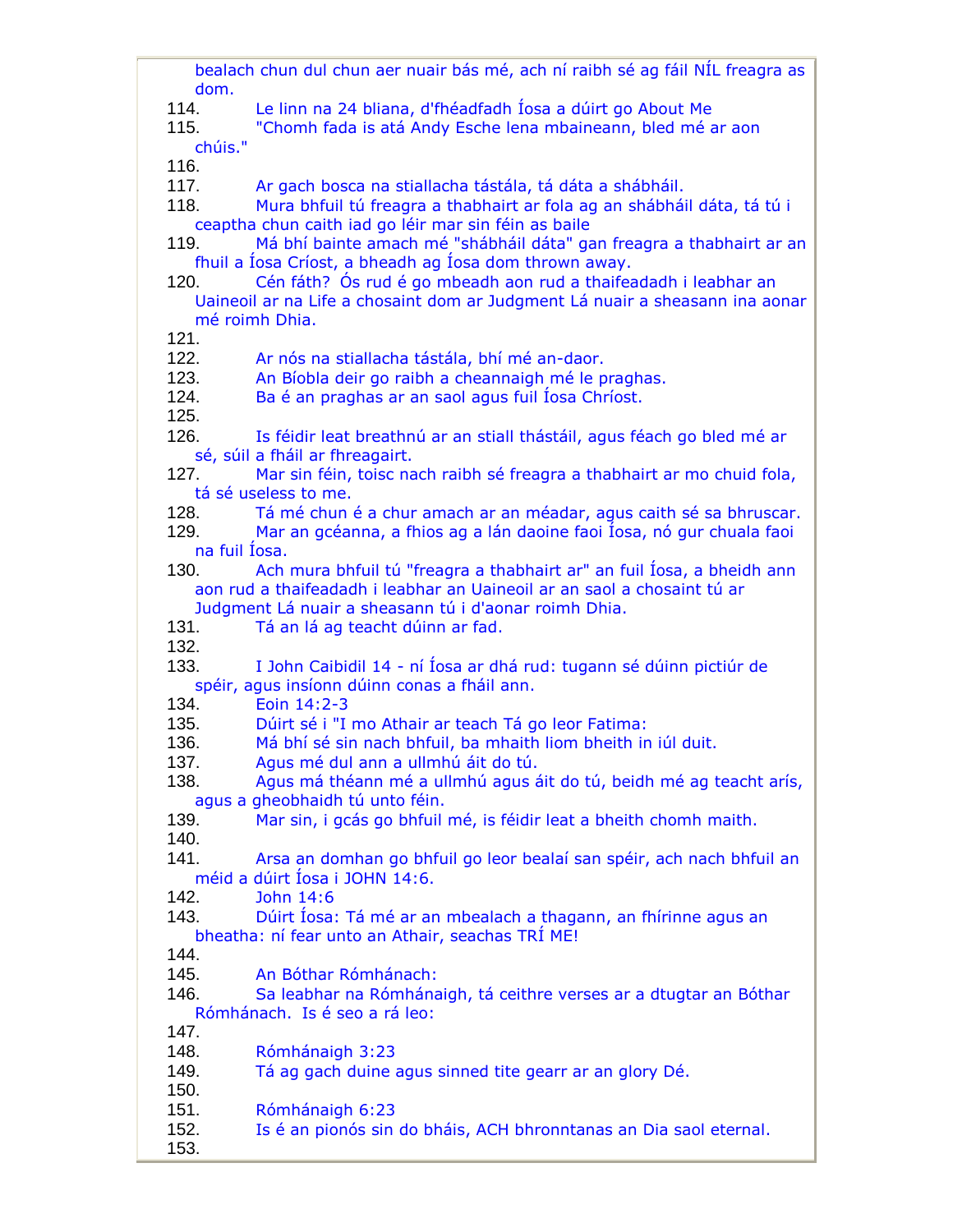bealach chun dul chun aer nuair bás mé, ach ní raibh sé ag fáil NÍL freagra as dom. 114. Le linn na 24 bliana, d'fhéadfadh Íosa a dúirt go About Me 115. "Chomh fada is atá Andy Esche lena mbaineann, bled mé ar aon chúis." 116. 117. Ar gach bosca na stiallacha tástála, tá dáta a shábháil. 118. Mura bhfuil tú freagra a thabhairt ar fola ag an shábháil dáta, tá tú i ceaptha chun caith iad go léir mar sin féin as baile 119. Má bhí bainte amach mé "shábháil dáta" gan freagra a thabhairt ar an fhuil a Íosa Críost, a bheadh ag Íosa dom thrown away. 120. Cén fáth? Ós rud é go mbeadh aon rud a thaifeadadh i leabhar an Uaineoil ar na Life a chosaint dom ar Judgment Lá nuair a sheasann ina aonar mé roimh Dhia. 121. 122. Ar nós na stiallacha tástála, bhí mé an-daor. 123. An Bíobla deir go raibh a cheannaigh mé le praghas. 124. Ba é an praghas ar an saol agus fuil Íosa Chríost. 125. 126. Is féidir leat breathnú ar an stiall thástáil, agus féach go bled mé ar sé, súil a fháil ar fhreagairt. 127. Mar sin féin, toisc nach raibh sé freagra a thabhairt ar mo chuid fola, tá sé useless to me. 128. Tá mé chun é a chur amach ar an méadar, agus caith sé sa bhruscar. 129. Mar an gcéanna, a fhios ag a lán daoine faoi Íosa, nó gur chuala faoi na fuil Íosa. 130. Ach mura bhfuil tú "freagra a thabhairt ar" an fuil Íosa, a bheidh ann aon rud a thaifeadadh i leabhar an Uaineoil ar an saol a chosaint tú ar Judgment Lá nuair a sheasann tú i d'aonar roimh Dhia. 131. Tá an lá ag teacht dúinn ar fad. 132. 133. I John Caibidil 14 - ní Íosa ar dhá rud: tugann sé dúinn pictiúr de spéir, agus insíonn dúinn conas a fháil ann. 134. Eoin 14:2-3 135. Dúirt sé i "I mo Athair ar teach Tá go leor Fatima: 136. Má bhí sé sin nach bhfuil, ba mhaith liom bheith in iúl duit. 137. Agus mé dul ann a ullmhú áit do tú. 138. Agus má théann mé a ullmhú agus áit do tú, beidh mé ag teacht arís, agus a gheobhaidh tú unto féin. 139. Mar sin, i gcás go bhfuil mé, is féidir leat a bheith chomh maith. 140. 141. Arsa an domhan go bhfuil go leor bealaí san spéir, ach nach bhfuil an méid a dúirt Íosa i JOHN 14:6. 142. John 14:6 143. Dúirt Íosa: Tá mé ar an mbealach a thagann, an fhírinne agus an bheatha: ní fear unto an Athair, seachas TRÍ ME! 144. 145. An Bóthar Rómhánach: 146. Sa leabhar na Rómhánaigh, tá ceithre verses ar a dtugtar an Bóthar Rómhánach. Is é seo a rá leo: 147. 148. Rómhánaigh 3:23 149. Tá ag gach duine agus sinned tite gearr ar an glory Dé. 150. 151. Rómhánaigh 6:23 152. Is é an pionós sin do bháis, ACH bhronntanas an Dia saol eternal. 153.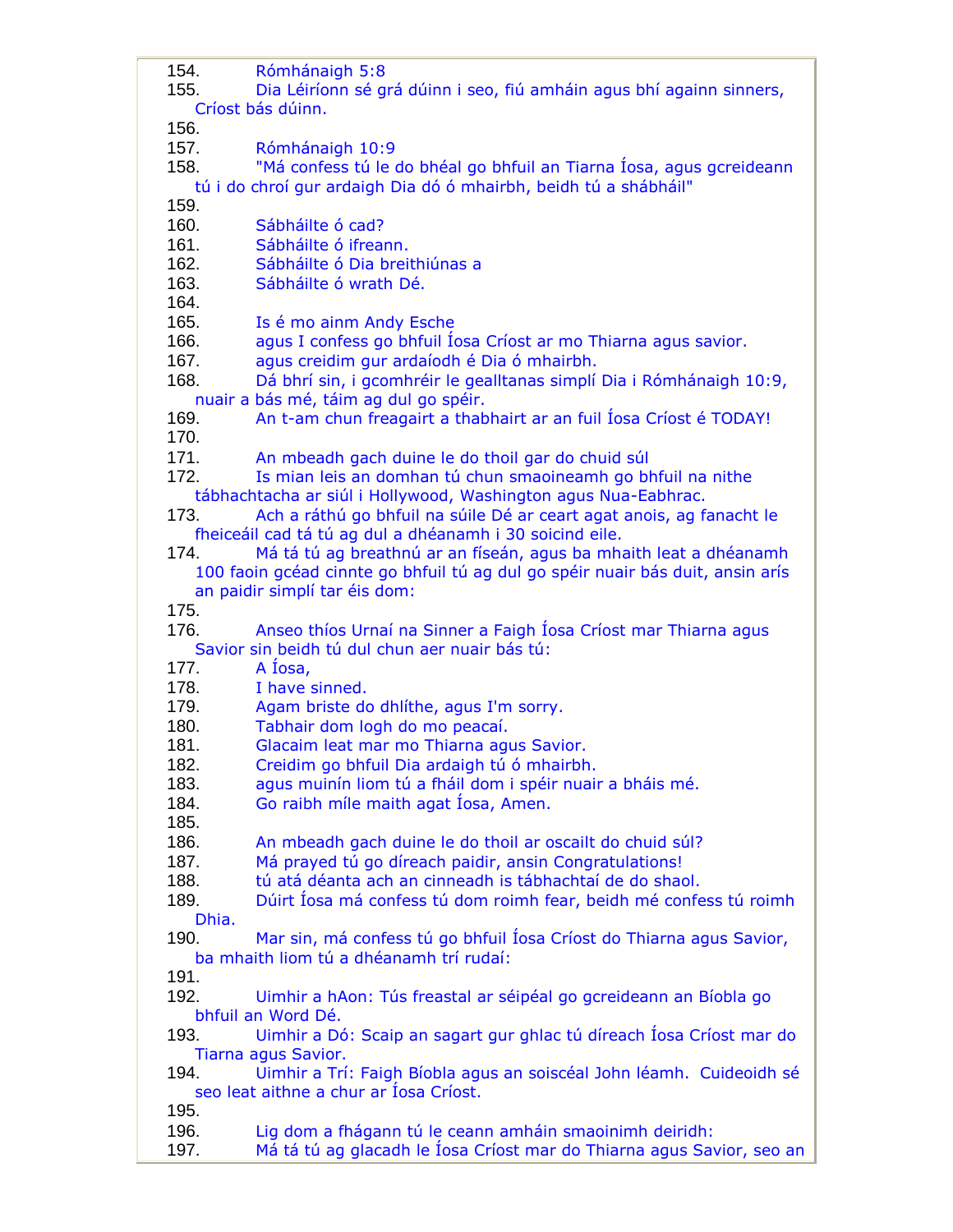154. Rómhánaigh 5:8 155. Dia Léiríonn sé grá dúinn i seo, fiú amháin agus bhí againn sinners, Críost bás dúinn. 156. 157. Rómhánaigh 10:9 158. "Má confess tú le do bhéal go bhfuil an Tiarna Íosa, agus gcreideann tú i do chroí gur ardaigh Dia dó ó mhairbh, beidh tú a shábháil" 159. 160. Sábháilte ó cad? 161. Sábháilte ó ifreann. 162. Sábháilte ó Dia breithiúnas a 163. Sábháilte ó wrath Dé. 164. 165. Is é mo ainm Andy Esche 166. agus I confess go bhfuil Íosa Críost ar mo Thiarna agus savior. 167. agus creidim gur ardaíodh é Dia ó mhairbh. 168. Dá bhrí sin, i gcomhréir le gealltanas simplí Dia i Rómhánaigh 10:9, nuair a bás mé, táim ag dul go spéir. 169. An t-am chun freagairt a thabhairt ar an fuil Íosa Críost é TODAY! 170. 171. An mbeadh gach duine le do thoil gar do chuid súl 172. Is mian leis an domhan tú chun smaoineamh go bhfuil na nithe tábhachtacha ar siúl i Hollywood, Washington agus Nua-Eabhrac. 173. Ach a ráthú go bhfuil na súile Dé ar ceart agat anois, ag fanacht le fheiceáil cad tá tú ag dul a dhéanamh i 30 soicind eile. 174. Má tá tú ag breathnú ar an físeán, agus ba mhaith leat a dhéanamh 100 faoin gcéad cinnte go bhfuil tú ag dul go spéir nuair bás duit, ansin arís an paidir simplí tar éis dom: 175. 176. Anseo thíos Urnaí na Sinner a Faigh Íosa Críost mar Thiarna agus Savior sin beidh tú dul chun aer nuair bás tú: 177. A Íosa, 178. I have sinned. 179. Agam briste do dhlíthe, agus I'm sorry. 180. Tabhair dom logh do mo peacaí. 181. Glacaim leat mar mo Thiarna agus Savior. 182. Creidim go bhfuil Dia ardaigh tú ó mhairbh. 183. agus muinín liom tú a fháil dom i spéir nuair a bháis mé. 184. Go raibh míle maith agat Íosa, Amen. 185. 186. An mbeadh gach duine le do thoil ar oscailt do chuid súl? 187. Má prayed tú go díreach paidir, ansin Congratulations! 188. tú atá déanta ach an cinneadh is tábhachtaí de do shaol. 189. Dúirt Íosa má confess tú dom roimh fear, beidh mé confess tú roimh Dhia. 190. Mar sin, má confess tú go bhfuil Íosa Críost do Thiarna agus Savior, ba mhaith liom tú a dhéanamh trí rudaí: 191. 192. Uimhir a hAon: Tús freastal ar séipéal go gcreideann an Bíobla go bhfuil an Word Dé. 193. Uimhir a Dó: Scaip an sagart gur ghlac tú díreach Íosa Críost mar do Tiarna agus Savior. 194. Uimhir a Trí: Faigh Bíobla agus an soiscéal John léamh. Cuideoidh sé seo leat aithne a chur ar Íosa Críost. 195. 196. Lig dom a fhágann tú le ceann amháin smaoinimh deiridh: 197. Má tá tú ag glacadh le Íosa Críost mar do Thiarna agus Savior, seo an